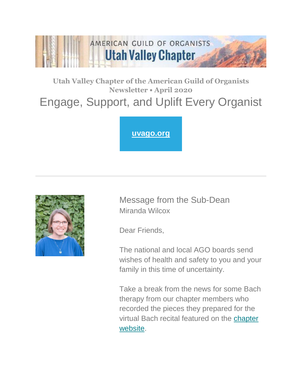

### **Utah Valley Chapter of the American Guild of Organists Newsletter • April 2020** Engage, Support, and Uplift Every Organist

**[uvago.org](http://uvago.org/)**



Message from the Sub-Dean Miranda Wilcox

Dear Friends,

The national and local AGO boards send wishes of health and safety to you and your family in this time of uncertainty.

Take a break from the news for some Bach therapy from our chapter members who recorded the pieces they prepared for the virtual Bach recital featured on the [chapter](https://uvago.org/2020/03/26/march-2020-bach-birthday-recital-online/)  [website.](https://uvago.org/2020/03/26/march-2020-bach-birthday-recital-online/)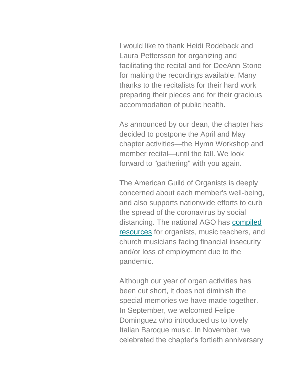I would like to thank Heidi Rodeback and Laura Pettersson for organizing and facilitating the recital and for DeeAnn Stone for making the recordings available. Many thanks to the recitalists for their hard work preparing their pieces and for their gracious accommodation of public health.

As announced by our dean, the chapter has decided to postpone the April and May chapter activities—the Hymn Workshop and member recital—until the fall. We look forward to "gathering" with you again.

The American Guild of Organists is deeply concerned about each member's well-being, and also supports nationwide efforts to curb the spread of the coronavirus by social distancing. The national AGO has [compiled](https://www.agohq.org/responding-to-covid-19/)  [resources](https://www.agohq.org/responding-to-covid-19/) for organists, music teachers, and church musicians facing financial insecurity and/or loss of employment due to the pandemic.

Although our year of organ activities has been cut short, it does not diminish the special memories we have made together. In September, we welcomed Felipe Dominguez who introduced us to lovely Italian Baroque music. In November, we celebrated the chapter's fortieth anniversary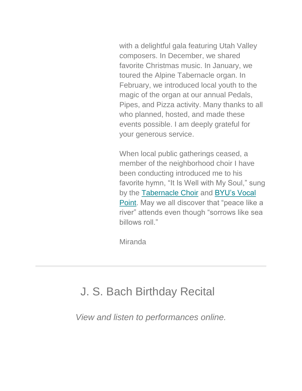with a delightful gala featuring Utah Valley composers. In December, we shared favorite Christmas music. In January, we toured the Alpine Tabernacle organ. In February, we introduced local youth to the magic of the organ at our annual Pedals, Pipes, and Pizza activity. Many thanks to all who planned, hosted, and made these events possible. I am deeply grateful for your generous service.

When local public gatherings ceased, a member of the neighborhood choir I have been conducting introduced me to his favorite hymn, "It Is Well with My Soul," sung by the [Tabernacle Choir](https://www.thetabernaclechoir.org/videos/it-is-well-with-my-soul.html) and [BYU's Vocal](https://www.youtube.com/watch?v=FexGqNDBK3g)  [Point.](https://www.youtube.com/watch?v=FexGqNDBK3g) May we all discover that "peace like a river" attends even though "sorrows like sea billows roll."

**Miranda** 

## J. S. Bach Birthday Recital

*View and listen to performances online.*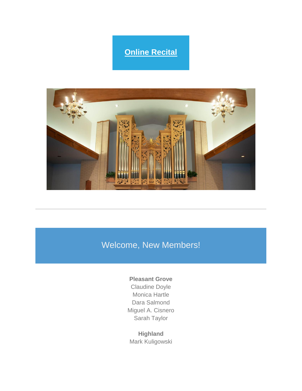#### **[Online Recital](http://uvago.org/2020/03/26/march-2020-bach-birthday-recital-online/)**



### Welcome, New Members!

#### **Pleasant Grove**

Claudine Doyle Monica Hartle Dara Salmond Miguel A. Cisnero Sarah Taylor

**Highland** Mark Kuligowski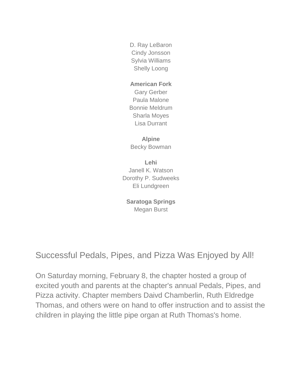D. Ray LeBaron Cindy Jonsson Sylvia Williams Shelly Loong

#### **American Fork**

Gary Gerber Paula Malone Bonnie Meldrum Sharla Moyes Lisa Durrant

**Alpine** Becky Bowman

**Lehi** Janell K. Watson Dorothy P. Sudweeks Eli Lundgreen

**Saratoga Springs** Megan Burst

Successful Pedals, Pipes, and Pizza Was Enjoyed by All!

On Saturday morning, February 8, the chapter hosted a group of excited youth and parents at the chapter's annual Pedals, Pipes, and Pizza activity. Chapter members Daivd Chamberlin, Ruth Eldredge Thomas, and others were on hand to offer instruction and to assist the children in playing the little pipe organ at Ruth Thomas's home.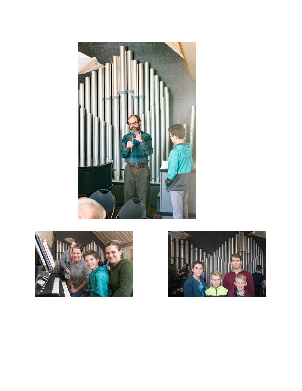